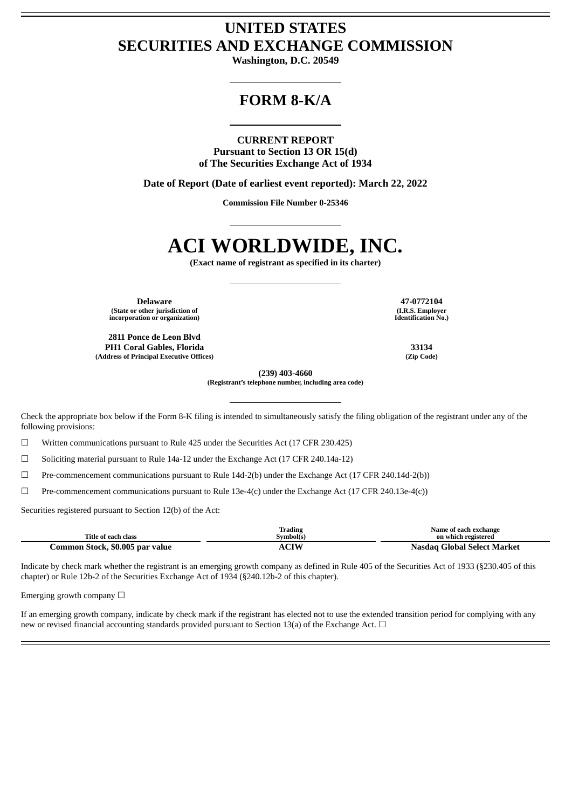# **UNITED STATES SECURITIES AND EXCHANGE COMMISSION**

**Washington, D.C. 20549**

# **FORM 8-K/A**

#### **CURRENT REPORT**

**Pursuant to Section 13 OR 15(d) of The Securities Exchange Act of 1934**

**Date of Report (Date of earliest event reported): March 22, 2022**

**Commission File Number 0-25346**

# **ACI WORLDWIDE, INC.**

**(Exact name of registrant as specified in its charter)**

**Delaware 47-0772104 (State or other jurisdiction of incorporation or organization)**

**2811 Ponce de Leon Blvd PH1 Coral Gables, Florida 33134 (Address of Principal Executive Offices) (Zip Code)**

**(I.R.S. Employer Identification No.)**

**(239) 403-4660**

**(Registrant's telephone number, including area code)**

Check the appropriate box below if the Form 8-K filing is intended to simultaneously satisfy the filing obligation of the registrant under any of the following provisions:

☐ Written communications pursuant to Rule 425 under the Securities Act (17 CFR 230.425)

 $\Box$  Soliciting material pursuant to Rule 14a-12 under the Exchange Act (17 CFR 240.14a-12)

☐ Pre-commencement communications pursuant to Rule 14d-2(b) under the Exchange Act (17 CFR 240.14d-2(b))

☐ Pre-commencement communications pursuant to Rule 13e-4(c) under the Exchange Act (17 CFR 240.13e-4(c))

Securities registered pursuant to Section 12(b) of the Act:

|                                 | Trading     | Name of each exchange       |
|---------------------------------|-------------|-----------------------------|
| Title of each class             | Svmbol(s)   | on which registered         |
| Common Stock, \$0.005 par value | <b>ACIW</b> | Nasdag Global Select Market |

Indicate by check mark whether the registrant is an emerging growth company as defined in Rule 405 of the Securities Act of 1933 (§230.405 of this chapter) or Rule 12b-2 of the Securities Exchange Act of 1934 (§240.12b-2 of this chapter).

Emerging growth company  $\Box$ 

If an emerging growth company, indicate by check mark if the registrant has elected not to use the extended transition period for complying with any new or revised financial accounting standards provided pursuant to Section 13(a) of the Exchange Act.  $\Box$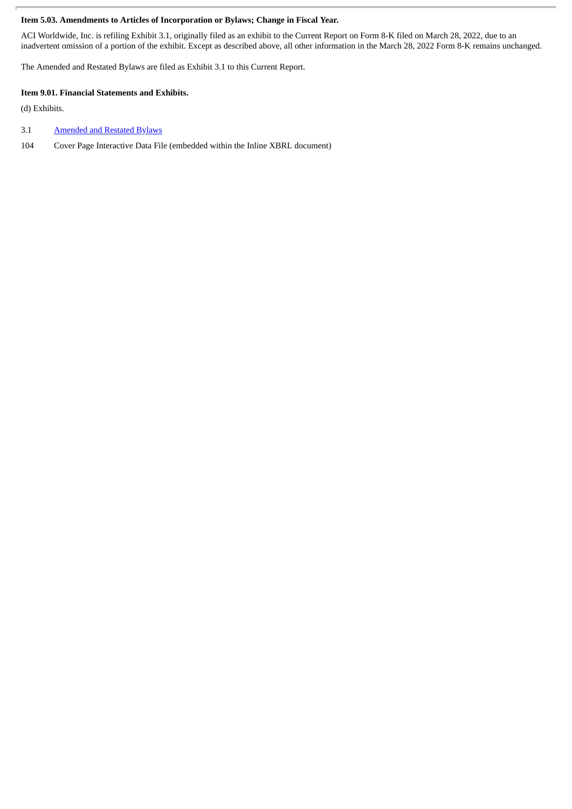### **Item 5.03. Amendments to Articles of Incorporation or Bylaws; Change in Fiscal Year.**

ACI Worldwide, Inc. is refiling Exhibit 3.1, originally filed as an exhibit to the Current Report on Form 8-K filed on March 28, 2022, due to an inadvertent omission of a portion of the exhibit. Except as described above, all other information in the March 28, 2022 Form 8-K remains unchanged.

The Amended and Restated Bylaws are filed as Exhibit 3.1 to this Current Report.

#### **Item 9.01. Financial Statements and Exhibits.**

(d) Exhibits.

#### 3.1 [Amended](#page-3-0) and Restated Bylaws

104 Cover Page Interactive Data File (embedded within the Inline XBRL document)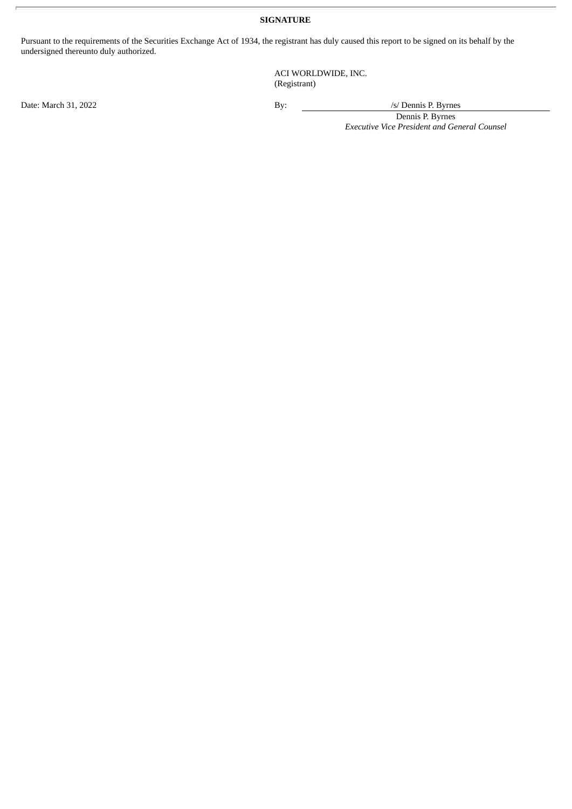## **SIGNATURE**

Pursuant to the requirements of the Securities Exchange Act of 1934, the registrant has duly caused this report to be signed on its behalf by the undersigned thereunto duly authorized.

> ACI WORLDWIDE, INC. (Registrant)

Date: March 31, 2022 By: /s/ Dennis P. Byrnes

Dennis P. Byrnes *Executive Vice President and General Counsel*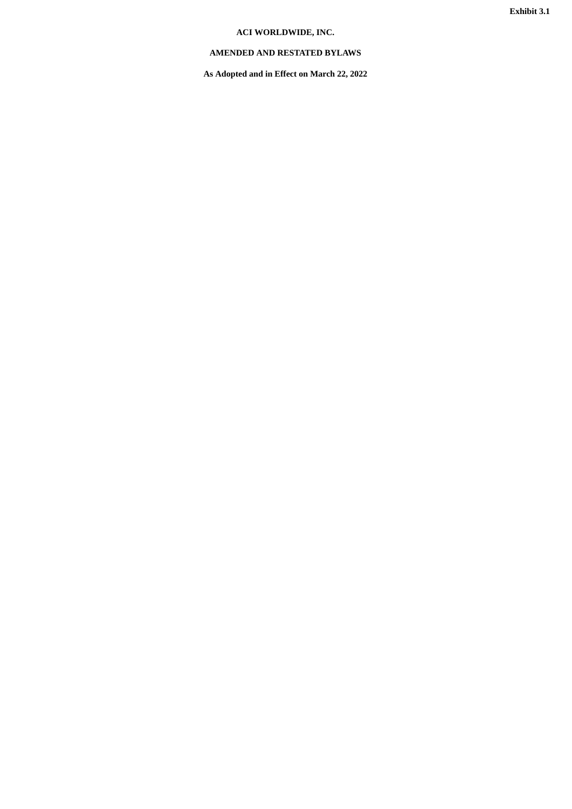## **ACI WORLDWIDE, INC.**

## <span id="page-3-0"></span>**AMENDED AND RESTATED BYLAWS**

**As Adopted and in Effect on March 22, 2022**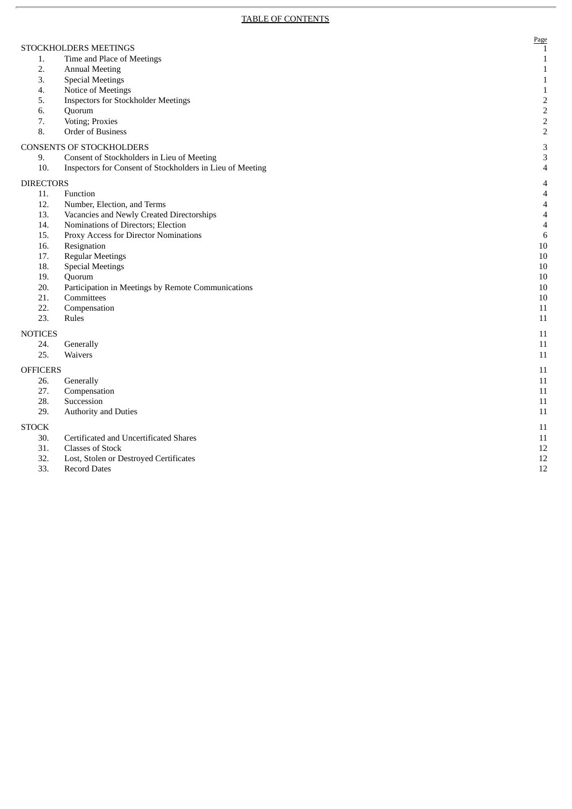Page

1

1

1

1

1

2

2

2

2

3

3

4

4

4

4

4

4

6

1 0

1 0

1 0

1 0

1 0

1 0

1 1

1 1

1 1

1 1

1 1

1 1

1 1

1 1

1 1

1 1

1 1

1 1

1 2

1 2

1 2

- 1. Time and Place of Meetings
- 2. Annual Meeting
- 3. Special Meetings
- 4. Notice of Meetings
- 5. I nspectors for Stockholder Meetings
- 6. Quorum
- 7. Voting; Proxies
- 8. Order of Business

#### CONSENTS OF STOCKHOLDERS

- 9. Consent of Stockholders in Lieu of Meeting
- 1 0. I nspectors for Consent of Stockholders in Lieu of Meeting

#### DIRECTORS

- 1 1. F unction
- 12. 2. Number, Election, and Terms
- 13. 3. Vacancies and Newly Created Directorships
- $14.$ 4. Nominations of Directors; Election
- 1 5. P roxy Access for Director Nominations
- 16. 6. Resignation
- 17. 7. Regular Meetings
- 1 8. S pecial Meetings
- 19. 9. Quorum
- 20. Pa articipation in Meetings by Remote Communications
- $21.$ 1. Committees

3. Rules

- $22.$ 2. Compensation 23.
- 

#### NOTICES 24.

- 4. Generally 25.
- 5. Waivers

#### **OFFICERS**

- 26. 6. Generally
- 27. 7. Compensation
- 28. 8. Succession
- 29. 9. Authority and Duties

#### S T O C K

- 30. 0. Certificated and Uncertificated Shares
- $31.$ 1. Classes of Stock
- 3 2. L ost, Stolen or Destroyed Certificates
- 33. 3. Record Dates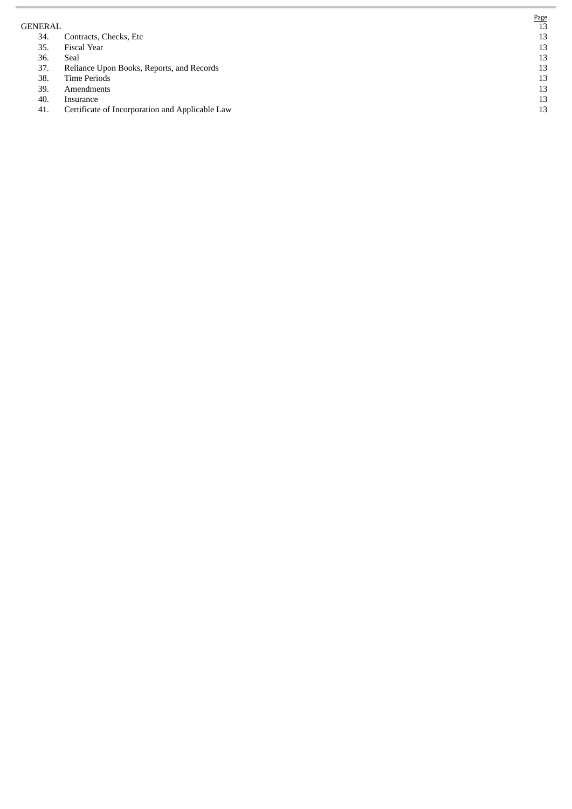G E N E R A L

- 34. 4. Contracts, Checks, Etc
- 35. 5. Fiscal Year
- 36. 6. S e a l
- 37. 7. Reliance Upon Books, Reports, and Records
- 38. 8. Time Periods
- 39. 9. Amendments
- 4 0. I nsurance
- 41. 1. Certificate of Incorporation and Applicable Law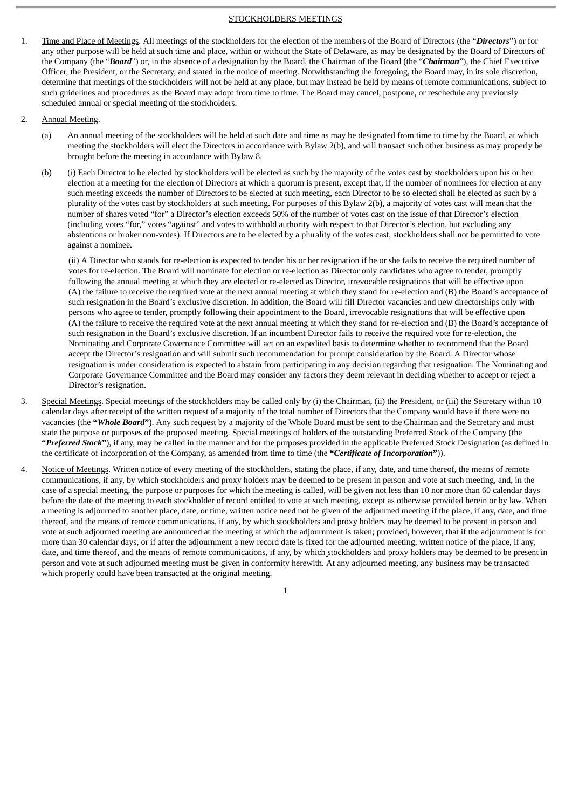#### STOCKHOLDERS MEETINGS

- 1. Time and Place of Meetings. All meetings of the stockholders for the election of the members of the Board of Directors (the "*Directors*") or for any other purpose will be held at such time and place, within or without the State of Delaware, as may be designated by the Board of Directors of the Company (the "*Board*") or, in the absence of a designation by the Board, the Chairman of the Board (the "*Chairman*"), the Chief Executive Officer, the President, or the Secretary, and stated in the notice of meeting. Notwithstanding the foregoing, the Board may, in its sole discretion, determine that meetings of the stockholders will not be held at any place, but may instead be held by means of remote communications, subject to such guidelines and procedures as the Board may adopt from time to time. The Board may cancel, postpone, or reschedule any previously scheduled annual or special meeting of the stockholders.
- 2. Annual Meeting.
	- (a) An annual meeting of the stockholders will be held at such date and time as may be designated from time to time by the Board, at which meeting the stockholders will elect the Directors in accordance with Bylaw 2(b), and will transact such other business as may properly be brought before the meeting in accordance with Bylaw 8.
	- (b) (i) Each Director to be elected by stockholders will be elected as such by the majority of the votes cast by stockholders upon his or her election at a meeting for the election of Directors at which a quorum is present, except that, if the number of nominees for election at any such meeting exceeds the number of Directors to be elected at such meeting, each Director to be so elected shall be elected as such by a plurality of the votes cast by stockholders at such meeting. For purposes of this Bylaw 2(b), a majority of votes cast will mean that the number of shares voted "for" a Director's election exceeds 50% of the number of votes cast on the issue of that Director's election (including votes "for," votes "against" and votes to withhold authority with respect to that Director's election, but excluding any abstentions or broker non-votes). If Directors are to be elected by a plurality of the votes cast, stockholders shall not be permitted to vote against a nominee.

(ii) A Director who stands for re-election is expected to tender his or her resignation if he or she fails to receive the required number of votes for re-election. The Board will nominate for election or re-election as Director only candidates who agree to tender, promptly following the annual meeting at which they are elected or re-elected as Director, irrevocable resignations that will be effective upon (A) the failure to receive the required vote at the next annual meeting at which they stand for re-election and (B) the Board's acceptance of such resignation in the Board's exclusive discretion. In addition, the Board will fill Director vacancies and new directorships only with persons who agree to tender, promptly following their appointment to the Board, irrevocable resignations that will be effective upon (A) the failure to receive the required vote at the next annual meeting at which they stand for re-election and (B) the Board's acceptance of such resignation in the Board's exclusive discretion. If an incumbent Director fails to receive the required vote for re-election, the Nominating and Corporate Governance Committee will act on an expedited basis to determine whether to recommend that the Board accept the Director's resignation and will submit such recommendation for prompt consideration by the Board. A Director whose resignation is under consideration is expected to abstain from participating in any decision regarding that resignation. The Nominating and Corporate Governance Committee and the Board may consider any factors they deem relevant in deciding whether to accept or reject a Director's resignation.

- 3. Special Meetings. Special meetings of the stockholders may be called only by (i) the Chairman, (ii) the President, or (iii) the Secretary within 10 calendar days after receipt of the written request of a majority of the total number of Directors that the Company would have if there were no vacancies (the **"***Whole Board***"**). Any such request by a majority of the Whole Board must be sent to the Chairman and the Secretary and must state the purpose or purposes of the proposed meeting. Special meetings of holders of the outstanding Preferred Stock of the Company (the **"***Preferred Stock***"**), if any, may be called in the manner and for the purposes provided in the applicable Preferred Stock Designation (as defined in the certificate of incorporation of the Company, as amended from time to time (the **"***Certificate of Incorporation***"**)).
- 4. Notice of Meetings. Written notice of every meeting of the stockholders, stating the place, if any, date, and time thereof, the means of remote communications, if any, by which stockholders and proxy holders may be deemed to be present in person and vote at such meeting, and, in the case of a special meeting, the purpose or purposes for which the meeting is called, will be given not less than 10 nor more than 60 calendar days before the date of the meeting to each stockholder of record entitled to vote at such meeting, except as otherwise provided herein or by law. When a meeting is adjourned to another place, date, or time, written notice need not be given of the adjourned meeting if the place, if any, date, and time thereof, and the means of remote communications, if any, by which stockholders and proxy holders may be deemed to be present in person and vote at such adjourned meeting are announced at the meeting at which the adjournment is taken; provided, however, that if the adjournment is for more than 30 calendar days, or if after the adjournment a new record date is fixed for the adjourned meeting, written notice of the place, if any, date, and time thereof, and the means of remote communications, if any, by which stockholders and proxy holders may be deemed to be present in person and vote at such adjourned meeting must be given in conformity herewith. At any adjourned meeting, any business may be transacted which properly could have been transacted at the original meeting.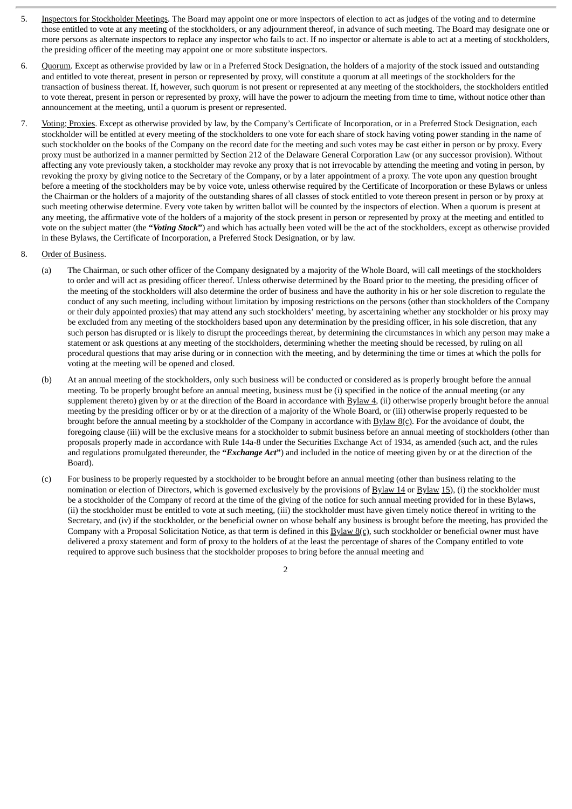- 5. Inspectors for Stockholder Meetings. The Board may appoint one or more inspectors of election to act as judges of the voting and to determine those entitled to vote at any meeting of the stockholders, or any adjournment thereof, in advance of such meeting. The Board may designate one or more persons as alternate inspectors to replace any inspector who fails to act. If no inspector or alternate is able to act at a meeting of stockholders, the presiding officer of the meeting may appoint one or more substitute inspectors.
- 6. Quorum. Except as otherwise provided by law or in a Preferred Stock Designation, the holders of a majority of the stock issued and outstanding and entitled to vote thereat, present in person or represented by proxy, will constitute a quorum at all meetings of the stockholders for the transaction of business thereat. If, however, such quorum is not present or represented at any meeting of the stockholders, the stockholders entitled to vote thereat, present in person or represented by proxy, will have the power to adjourn the meeting from time to time, without notice other than announcement at the meeting, until a quorum is present or represented.
- 7. Voting; Proxies. Except as otherwise provided by law, by the Company's Certificate of Incorporation, or in a Preferred Stock Designation, each stockholder will be entitled at every meeting of the stockholders to one vote for each share of stock having voting power standing in the name of such stockholder on the books of the Company on the record date for the meeting and such votes may be cast either in person or by proxy. Every proxy must be authorized in a manner permitted by Section 212 of the Delaware General Corporation Law (or any successor provision). Without affecting any vote previously taken, a stockholder may revoke any proxy that is not irrevocable by attending the meeting and voting in person, by revoking the proxy by giving notice to the Secretary of the Company, or by a later appointment of a proxy. The vote upon any question brought before a meeting of the stockholders may be by voice vote, unless otherwise required by the Certificate of Incorporation or these Bylaws or unless the Chairman or the holders of a majority of the outstanding shares of all classes of stock entitled to vote thereon present in person or by proxy at such meeting otherwise determine. Every vote taken by written ballot will be counted by the inspectors of election. When a quorum is present at any meeting, the affirmative vote of the holders of a majority of the stock present in person or represented by proxy at the meeting and entitled to vote on the subject matter (the **"***Voting Stock***"**) and which has actually been voted will be the act of the stockholders, except as otherwise provided in these Bylaws, the Certificate of Incorporation, a Preferred Stock Designation, or by law.

#### 8. Order of Business.

- (a) The Chairman, or such other officer of the Company designated by a majority of the Whole Board, will call meetings of the stockholders to order and will act as presiding officer thereof. Unless otherwise determined by the Board prior to the meeting, the presiding officer of the meeting of the stockholders will also determine the order of business and have the authority in his or her sole discretion to regulate the conduct of any such meeting, including without limitation by imposing restrictions on the persons (other than stockholders of the Company or their duly appointed proxies) that may attend any such stockholders' meeting, by ascertaining whether any stockholder or his proxy may be excluded from any meeting of the stockholders based upon any determination by the presiding officer, in his sole discretion, that any such person has disrupted or is likely to disrupt the proceedings thereat, by determining the circumstances in which any person may make a statement or ask questions at any meeting of the stockholders, determining whether the meeting should be recessed, by ruling on all procedural questions that may arise during or in connection with the meeting, and by determining the time or times at which the polls for voting at the meeting will be opened and closed.
- (b) At an annual meeting of the stockholders, only such business will be conducted or considered as is properly brought before the annual meeting. To be properly brought before an annual meeting, business must be (i) specified in the notice of the annual meeting (or any supplement thereto) given by or at the direction of the Board in accordance with  $Bylaw 4$ , (ii) otherwise properly brought before the annual meeting by the presiding officer or by or at the direction of a majority of the Whole Board, or (iii) otherwise properly requested to be brought before the annual meeting by a stockholder of the Company in accordance with  $\underline{Bylaw} 8(c)$ . For the avoidance of doubt, the foregoing clause (iii) will be the exclusive means for a stockholder to submit business before an annual meeting of stockholders (other than proposals properly made in accordance with Rule 14a-8 under the Securities Exchange Act of 1934, as amended (such act, and the rules and regulations promulgated thereunder, the **"***Exchange Act***"**) and included in the notice of meeting given by or at the direction of the Board).
- (c) For business to be properly requested by a stockholder to be brought before an annual meeting (other than business relating to the nomination or election of Directors, which is governed exclusively by the provisions of Bylaw 14 or Bylaw 15), (i) the stockholder must be a stockholder of the Company of record at the time of the giving of the notice for such annual meeting provided for in these Bylaws, (ii) the stockholder must be entitled to vote at such meeting, (iii) the stockholder must have given timely notice thereof in writing to the Secretary, and (iv) if the stockholder, or the beneficial owner on whose behalf any business is brought before the meeting, has provided the Company with a Proposal Solicitation Notice, as that term is defined in this  $Bylaw 8(c)$ , such stockholder or beneficial owner must have delivered a proxy statement and form of proxy to the holders of at the least the percentage of shares of the Company entitled to vote required to approve such business that the stockholder proposes to bring before the annual meeting and

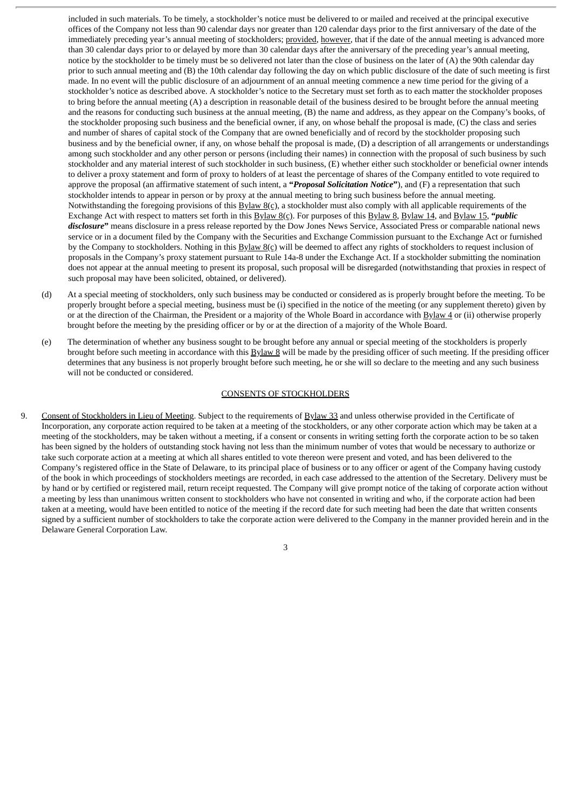included in such materials. To be timely, a stockholder's notice must be delivered to or mailed and received at the principal executive offices of the Company not less than 90 calendar days nor greater than 120 calendar days prior to the first anniversary of the date of the immediately preceding year's annual meeting of stockholders; provided, however, that if the date of the annual meeting is advanced more than 30 calendar days prior to or delayed by more than 30 calendar days after the anniversary of the preceding year's annual meeting, notice by the stockholder to be timely must be so delivered not later than the close of business on the later of (A) the 90th calendar day prior to such annual meeting and (B) the 10th calendar day following the day on which public disclosure of the date of such meeting is first made. In no event will the public disclosure of an adjournment of an annual meeting commence a new time period for the giving of a stockholder's notice as described above. A stockholder's notice to the Secretary must set forth as to each matter the stockholder proposes to bring before the annual meeting (A) a description in reasonable detail of the business desired to be brought before the annual meeting and the reasons for conducting such business at the annual meeting, (B) the name and address, as they appear on the Company's books, of the stockholder proposing such business and the beneficial owner, if any, on whose behalf the proposal is made, (C) the class and series and number of shares of capital stock of the Company that are owned beneficially and of record by the stockholder proposing such business and by the beneficial owner, if any, on whose behalf the proposal is made, (D) a description of all arrangements or understandings among such stockholder and any other person or persons (including their names) in connection with the proposal of such business by such stockholder and any material interest of such stockholder in such business, (E) whether either such stockholder or beneficial owner intends to deliver a proxy statement and form of proxy to holders of at least the percentage of shares of the Company entitled to vote required to approve the proposal (an affirmative statement of such intent, a **"***Proposal Solicitation Notice***"**), and (F) a representation that such stockholder intends to appear in person or by proxy at the annual meeting to bring such business before the annual meeting. Notwithstanding the foregoing provisions of this  $Bylaw B(s)$ , a stockholder must also comply with all applicable requirements of the Exchange Act with respect to matters set forth in this Bylaw 8(c). For purposes of this Bylaw 8, Bylaw 14, and Bylaw 15, **"***public disclosure***"** means disclosure in a press release reported by the Dow Jones News Service, Associated Press or comparable national news service or in a document filed by the Company with the Securities and Exchange Commission pursuant to the Exchange Act or furnished by the Company to stockholders. Nothing in this  $Bylaw 8(c)$  will be deemed to affect any rights of stockholders to request inclusion of proposals in the Company's proxy statement pursuant to Rule 14a-8 under the Exchange Act. If a stockholder submitting the nomination does not appear at the annual meeting to present its proposal, such proposal will be disregarded (notwithstanding that proxies in respect of such proposal may have been solicited, obtained, or delivered).

- (d) At a special meeting of stockholders, only such business may be conducted or considered as is properly brought before the meeting. To be properly brought before a special meeting, business must be (i) specified in the notice of the meeting (or any supplement thereto) given by or at the direction of the Chairman, the President or a majority of the Whole Board in accordance with Bylaw 4 or (ii) otherwise properly brought before the meeting by the presiding officer or by or at the direction of a majority of the Whole Board.
- (e) The determination of whether any business sought to be brought before any annual or special meeting of the stockholders is properly brought before such meeting in accordance with this Bylaw 8 will be made by the presiding officer of such meeting. If the presiding officer determines that any business is not properly brought before such meeting, he or she will so declare to the meeting and any such business will not be conducted or considered.

#### CONSENTS OF STOCKHOLDERS

9. Consent of Stockholders in Lieu of Meeting. Subject to the requirements of Bylaw 33 and unless otherwise provided in the Certificate of Incorporation, any corporate action required to be taken at a meeting of the stockholders, or any other corporate action which may be taken at a meeting of the stockholders, may be taken without a meeting, if a consent or consents in writing setting forth the corporate action to be so taken has been signed by the holders of outstanding stock having not less than the minimum number of votes that would be necessary to authorize or take such corporate action at a meeting at which all shares entitled to vote thereon were present and voted, and has been delivered to the Company's registered office in the State of Delaware, to its principal place of business or to any officer or agent of the Company having custody of the book in which proceedings of stockholders meetings are recorded, in each case addressed to the attention of the Secretary. Delivery must be by hand or by certified or registered mail, return receipt requested. The Company will give prompt notice of the taking of corporate action without a meeting by less than unanimous written consent to stockholders who have not consented in writing and who, if the corporate action had been taken at a meeting, would have been entitled to notice of the meeting if the record date for such meeting had been the date that written consents signed by a sufficient number of stockholders to take the corporate action were delivered to the Company in the manner provided herein and in the Delaware General Corporation Law.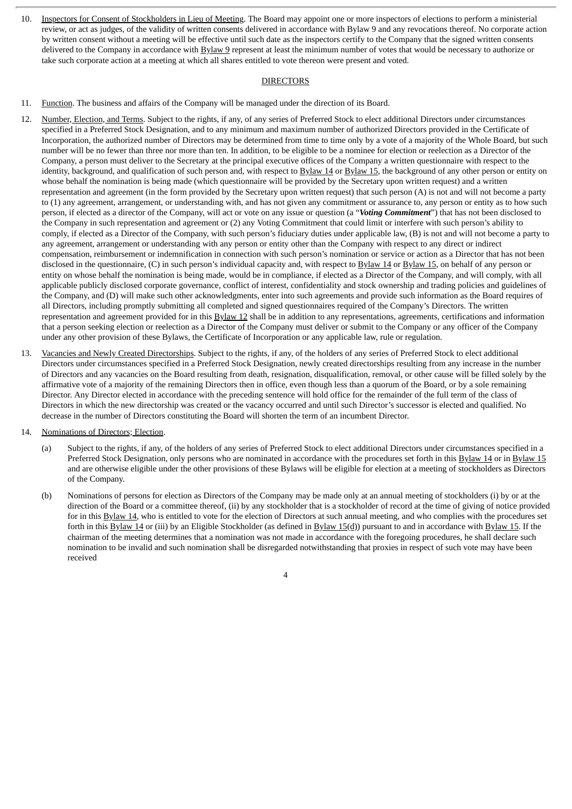10. Inspectors for Consent of Stockholders in Lieu of Meeting. The Board may appoint one or more inspectors of elections to perform a ministerial review, or act as judges, of the validity of written consents delivered in accordance with Bylaw 9 and any revocations thereof. No corporate action by written consent without a meeting will be effective until such date as the inspectors certify to the Company that the signed written consents delivered to the Company in accordance with Bylaw 9 represent at least the minimum number of votes that would be necessary to authorize or take such corporate action at a meeting at which all shares entitled to vote thereon were present and voted.

#### DIRECTORS

- 11. Function. The business and affairs of the Company will be managed under the direction of its Board.
- 12. Number, Election, and Terms. Subject to the rights, if any, of any series of Preferred Stock to elect additional Directors under circumstances specified in a Preferred Stock Designation, and to any minimum and maximum number of authorized Directors provided in the Certificate of Incorporation, the authorized number of Directors may be determined from time to time only by a vote of a majority of the Whole Board, but such number will be no fewer than three nor more than ten. In addition, to be eligible to be a nominee for election or reelection as a Director of the Company, a person must deliver to the Secretary at the principal executive offices of the Company a written questionnaire with respect to the identity, background, and qualification of such person and, with respect to Bylaw 14 or Bylaw 15, the background of any other person or entity on whose behalf the nomination is being made (which questionnaire will be provided by the Secretary upon written request) and a written representation and agreement (in the form provided by the Secretary upon written request) that such person (A) is not and will not become a party to (1) any agreement, arrangement, or understanding with, and has not given any commitment or assurance to, any person or entity as to how such person, if elected as a director of the Company, will act or vote on any issue or question (a "*Voting Commitment*") that has not been disclosed to the Company in such representation and agreement or (2) any Voting Commitment that could limit or interfere with such person's ability to comply, if elected as a Director of the Company, with such person's fiduciary duties under applicable law, (B) is not and will not become a party to any agreement, arrangement or understanding with any person or entity other than the Company with respect to any direct or indirect compensation, reimbursement or indemnification in connection with such person's nomination or service or action as a Director that has not been disclosed in the questionnaire, (C) in such person's individual capacity and, with respect to Bylaw 14 or Bylaw 15, on behalf of any person or entity on whose behalf the nomination is being made, would be in compliance, if elected as a Director of the Company, and will comply, with all applicable publicly disclosed corporate governance, conflict of interest, confidentiality and stock ownership and trading policies and guidelines of the Company, and (D) will make such other acknowledgments, enter into such agreements and provide such information as the Board requires of all Directors, including promptly submitting all completed and signed questionnaires required of the Company's Directors. The written representation and agreement provided for in this  $Bylaw 12$  shall be in addition to any representations, agreements, certifications and information that a person seeking election or reelection as a Director of the Company must deliver or submit to the Company or any officer of the Company under any other provision of these Bylaws, the Certificate of Incorporation or any applicable law, rule or regulation.
- 13. Vacancies and Newly Created Directorships. Subject to the rights, if any, of the holders of any series of Preferred Stock to elect additional Directors under circumstances specified in a Preferred Stock Designation, newly created directorships resulting from any increase in the number of Directors and any vacancies on the Board resulting from death, resignation, disqualification, removal, or other cause will be filled solely by the affirmative vote of a majority of the remaining Directors then in office, even though less than a quorum of the Board, or by a sole remaining Director. Any Director elected in accordance with the preceding sentence will hold office for the remainder of the full term of the class of Directors in which the new directorship was created or the vacancy occurred and until such Director's successor is elected and qualified. No decrease in the number of Directors constituting the Board will shorten the term of an incumbent Director.
- 14. Nominations of Directors; Election.
	- (a) Subject to the rights, if any, of the holders of any series of Preferred Stock to elect additional Directors under circumstances specified in a Preferred Stock Designation, only persons who are nominated in accordance with the procedures set forth in this Bylaw 14 or in Bylaw 15 and are otherwise eligible under the other provisions of these Bylaws will be eligible for election at a meeting of stockholders as Directors of the Company.
	- (b) Nominations of persons for election as Directors of the Company may be made only at an annual meeting of stockholders (i) by or at the direction of the Board or a committee thereof, (ii) by any stockholder that is a stockholder of record at the time of giving of notice provided for in this Bylaw 14, who is entitled to vote for the election of Directors at such annual meeting, and who complies with the procedures set forth in this Bylaw 14 or (iii) by an Eligible Stockholder (as defined in Bylaw 15(d)) pursuant to and in accordance with Bylaw 15. If the chairman of the meeting determines that a nomination was not made in accordance with the foregoing procedures, he shall declare such nomination to be invalid and such nomination shall be disregarded notwithstanding that proxies in respect of such vote may have been received
		- 4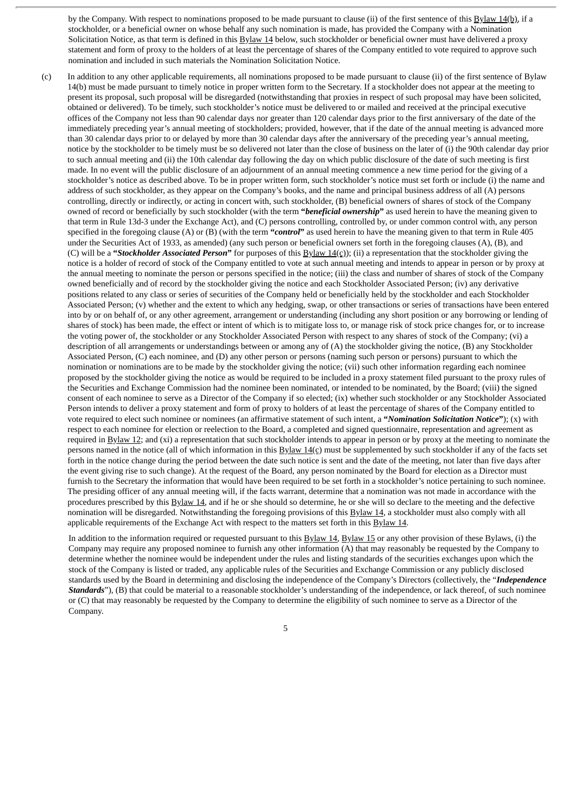by the Company. With respect to nominations proposed to be made pursuant to clause (ii) of the first sentence of this Bylaw 14(b), if a stockholder, or a beneficial owner on whose behalf any such nomination is made, has provided the Company with a Nomination Solicitation Notice, as that term is defined in this Bylaw 14 below, such stockholder or beneficial owner must have delivered a proxy statement and form of proxy to the holders of at least the percentage of shares of the Company entitled to vote required to approve such nomination and included in such materials the Nomination Solicitation Notice.

(c) In addition to any other applicable requirements, all nominations proposed to be made pursuant to clause (ii) of the first sentence of Bylaw 14(b) must be made pursuant to timely notice in proper written form to the Secretary. If a stockholder does not appear at the meeting to present its proposal, such proposal will be disregarded (notwithstanding that proxies in respect of such proposal may have been solicited, obtained or delivered). To be timely, such stockholder's notice must be delivered to or mailed and received at the principal executive offices of the Company not less than 90 calendar days nor greater than 120 calendar days prior to the first anniversary of the date of the immediately preceding year's annual meeting of stockholders; provided, however, that if the date of the annual meeting is advanced more than 30 calendar days prior to or delayed by more than 30 calendar days after the anniversary of the preceding year's annual meeting, notice by the stockholder to be timely must be so delivered not later than the close of business on the later of (i) the 90th calendar day prior to such annual meeting and (ii) the 10th calendar day following the day on which public disclosure of the date of such meeting is first made. In no event will the public disclosure of an adjournment of an annual meeting commence a new time period for the giving of a stockholder's notice as described above. To be in proper written form, such stockholder's notice must set forth or include (i) the name and address of such stockholder, as they appear on the Company's books, and the name and principal business address of all (A) persons controlling, directly or indirectly, or acting in concert with, such stockholder, (B) beneficial owners of shares of stock of the Company owned of record or beneficially by such stockholder (with the term **"***beneficial ownership***"** as used herein to have the meaning given to that term in Rule 13d-3 under the Exchange Act), and (C) persons controlling, controlled by, or under common control with, any person specified in the foregoing clause (A) or (B) (with the term **"***control***"** as used herein to have the meaning given to that term in Rule 405 under the Securities Act of 1933, as amended) (any such person or beneficial owners set forth in the foregoing clauses (A), (B), and (C) will be a **"***Stockholder Associated Person***"** for purposes of this Bylaw 14(c)); (ii) a representation that the stockholder giving the notice is a holder of record of stock of the Company entitled to vote at such annual meeting and intends to appear in person or by proxy at the annual meeting to nominate the person or persons specified in the notice; (iii) the class and number of shares of stock of the Company owned beneficially and of record by the stockholder giving the notice and each Stockholder Associated Person; (iv) any derivative positions related to any class or series of securities of the Company held or beneficially held by the stockholder and each Stockholder Associated Person; (v) whether and the extent to which any hedging, swap, or other transactions or series of transactions have been entered into by or on behalf of, or any other agreement, arrangement or understanding (including any short position or any borrowing or lending of shares of stock) has been made, the effect or intent of which is to mitigate loss to, or manage risk of stock price changes for, or to increase the voting power of, the stockholder or any Stockholder Associated Person with respect to any shares of stock of the Company; (vi) a description of all arrangements or understandings between or among any of (A) the stockholder giving the notice, (B) any Stockholder Associated Person, (C) each nominee, and (D) any other person or persons (naming such person or persons) pursuant to which the nomination or nominations are to be made by the stockholder giving the notice; (vii) such other information regarding each nominee proposed by the stockholder giving the notice as would be required to be included in a proxy statement filed pursuant to the proxy rules of the Securities and Exchange Commission had the nominee been nominated, or intended to be nominated, by the Board; (viii) the signed consent of each nominee to serve as a Director of the Company if so elected; (ix) whether such stockholder or any Stockholder Associated Person intends to deliver a proxy statement and form of proxy to holders of at least the percentage of shares of the Company entitled to vote required to elect such nominee or nominees (an affirmative statement of such intent, a **"***Nomination Solicitation Notice***"**); (x) with respect to each nominee for election or reelection to the Board, a completed and signed questionnaire, representation and agreement as required in Bylaw 12; and (xi) a representation that such stockholder intends to appear in person or by proxy at the meeting to nominate the persons named in the notice (all of which information in this Bylaw 14(c) must be supplemented by such stockholder if any of the facts set forth in the notice change during the period between the date such notice is sent and the date of the meeting, not later than five days after the event giving rise to such change). At the request of the Board, any person nominated by the Board for election as a Director must furnish to the Secretary the information that would have been required to be set forth in a stockholder's notice pertaining to such nominee. The presiding officer of any annual meeting will, if the facts warrant, determine that a nomination was not made in accordance with the procedures prescribed by this **Bylaw 14**, and if he or she should so determine, he or she will so declare to the meeting and the defective nomination will be disregarded. Notwithstanding the foregoing provisions of this Bylaw 14, a stockholder must also comply with all applicable requirements of the Exchange Act with respect to the matters set forth in this Bylaw 14.

In addition to the information required or requested pursuant to this Bylaw 14, Bylaw 15 or any other provision of these Bylaws, (i) the Company may require any proposed nominee to furnish any other information (A) that may reasonably be requested by the Company to determine whether the nominee would be independent under the rules and listing standards of the securities exchanges upon which the stock of the Company is listed or traded, any applicable rules of the Securities and Exchange Commission or any publicly disclosed standards used by the Board in determining and disclosing the independence of the Company's Directors (collectively, the "*Independence Standards*"), (B) that could be material to a reasonable stockholder's understanding of the independence, or lack thereof, of such nominee or (C) that may reasonably be requested by the Company to determine the eligibility of such nominee to serve as a Director of the Company.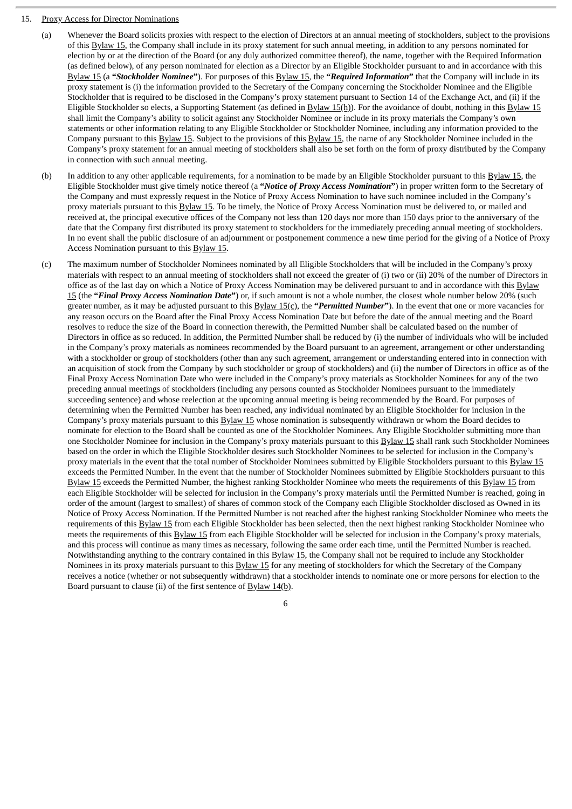#### 15. Proxy Access for Director Nominations

- (a) Whenever the Board solicits proxies with respect to the election of Directors at an annual meeting of stockholders, subject to the provisions of this Bylaw 15, the Company shall include in its proxy statement for such annual meeting, in addition to any persons nominated for election by or at the direction of the Board (or any duly authorized committee thereof), the name, together with the Required Information (as defined below), of any person nominated for election as a Director by an Eligible Stockholder pursuant to and in accordance with this Bylaw 15 (a **"***Stockholder Nominee***"**). For purposes of this Bylaw 15, the **"***Required Information***"** that the Company will include in its proxy statement is (i) the information provided to the Secretary of the Company concerning the Stockholder Nominee and the Eligible Stockholder that is required to be disclosed in the Company's proxy statement pursuant to Section 14 of the Exchange Act, and (ii) if the Eligible Stockholder so elects, a Supporting Statement (as defined in  $Bylaw 15(h)$ ). For the avoidance of doubt, nothing in this  $Bylaw 15$ shall limit the Company's ability to solicit against any Stockholder Nominee or include in its proxy materials the Company's own statements or other information relating to any Eligible Stockholder or Stockholder Nominee, including any information provided to the Company pursuant to this Bylaw 15. Subject to the provisions of this Bylaw 15, the name of any Stockholder Nominee included in the Company's proxy statement for an annual meeting of stockholders shall also be set forth on the form of proxy distributed by the Company in connection with such annual meeting.
- (b) In addition to any other applicable requirements, for a nomination to be made by an Eligible Stockholder pursuant to this  $Bylaw 15$ , the Eligible Stockholder must give timely notice thereof (a **"***Notice of Proxy Access Nomination***"**) in proper written form to the Secretary of the Company and must expressly request in the Notice of Proxy Access Nomination to have such nominee included in the Company's proxy materials pursuant to this Bylaw 15. To be timely, the Notice of Proxy Access Nomination must be delivered to, or mailed and received at, the principal executive offices of the Company not less than 120 days nor more than 150 days prior to the anniversary of the date that the Company first distributed its proxy statement to stockholders for the immediately preceding annual meeting of stockholders. In no event shall the public disclosure of an adjournment or postponement commence a new time period for the giving of a Notice of Proxy Access Nomination pursuant to this Bylaw 15.
- (c) The maximum number of Stockholder Nominees nominated by all Eligible Stockholders that will be included in the Company's proxy materials with respect to an annual meeting of stockholders shall not exceed the greater of (i) two or (ii) 20% of the number of Directors in office as of the last day on which a Notice of Proxy Access Nomination may be delivered pursuant to and in accordance with this Bylaw 15 (the **"***Final Proxy Access Nomination Date***"**) or, if such amount is not a whole number, the closest whole number below 20% (such greater number, as it may be adjusted pursuant to this Bylaw 15(c), the **"***Permitted Number***"**). In the event that one or more vacancies for any reason occurs on the Board after the Final Proxy Access Nomination Date but before the date of the annual meeting and the Board resolves to reduce the size of the Board in connection therewith, the Permitted Number shall be calculated based on the number of Directors in office as so reduced. In addition, the Permitted Number shall be reduced by (i) the number of individuals who will be included in the Company's proxy materials as nominees recommended by the Board pursuant to an agreement, arrangement or other understanding with a stockholder or group of stockholders (other than any such agreement, arrangement or understanding entered into in connection with an acquisition of stock from the Company by such stockholder or group of stockholders) and (ii) the number of Directors in office as of the Final Proxy Access Nomination Date who were included in the Company's proxy materials as Stockholder Nominees for any of the two preceding annual meetings of stockholders (including any persons counted as Stockholder Nominees pursuant to the immediately succeeding sentence) and whose reelection at the upcoming annual meeting is being recommended by the Board. For purposes of determining when the Permitted Number has been reached, any individual nominated by an Eligible Stockholder for inclusion in the Company's proxy materials pursuant to this Bylaw 15 whose nomination is subsequently withdrawn or whom the Board decides to nominate for election to the Board shall be counted as one of the Stockholder Nominees. Any Eligible Stockholder submitting more than one Stockholder Nominee for inclusion in the Company's proxy materials pursuant to this Bylaw 15 shall rank such Stockholder Nominees based on the order in which the Eligible Stockholder desires such Stockholder Nominees to be selected for inclusion in the Company's proxy materials in the event that the total number of Stockholder Nominees submitted by Eligible Stockholders pursuant to this Bylaw 15 exceeds the Permitted Number. In the event that the number of Stockholder Nominees submitted by Eligible Stockholders pursuant to this Bylaw 15 exceeds the Permitted Number, the highest ranking Stockholder Nominee who meets the requirements of this Bylaw 15 from each Eligible Stockholder will be selected for inclusion in the Company's proxy materials until the Permitted Number is reached, going in order of the amount (largest to smallest) of shares of common stock of the Company each Eligible Stockholder disclosed as Owned in its Notice of Proxy Access Nomination. If the Permitted Number is not reached after the highest ranking Stockholder Nominee who meets the requirements of this Bylaw 15 from each Eligible Stockholder has been selected, then the next highest ranking Stockholder Nominee who meets the requirements of this Bylaw 15 from each Eligible Stockholder will be selected for inclusion in the Company's proxy materials, and this process will continue as many times as necessary, following the same order each time, until the Permitted Number is reached. Notwithstanding anything to the contrary contained in this Bylaw 15, the Company shall not be required to include any Stockholder Nominees in its proxy materials pursuant to this  $\frac{Bylaw 15}{Bylaw 15}$  for any meeting of stockholders for which the Secretary of the Company receives a notice (whether or not subsequently withdrawn) that a stockholder intends to nominate one or more persons for election to the Board pursuant to clause (ii) of the first sentence of  $\frac{Bylaw 14(b)}{b}$ .

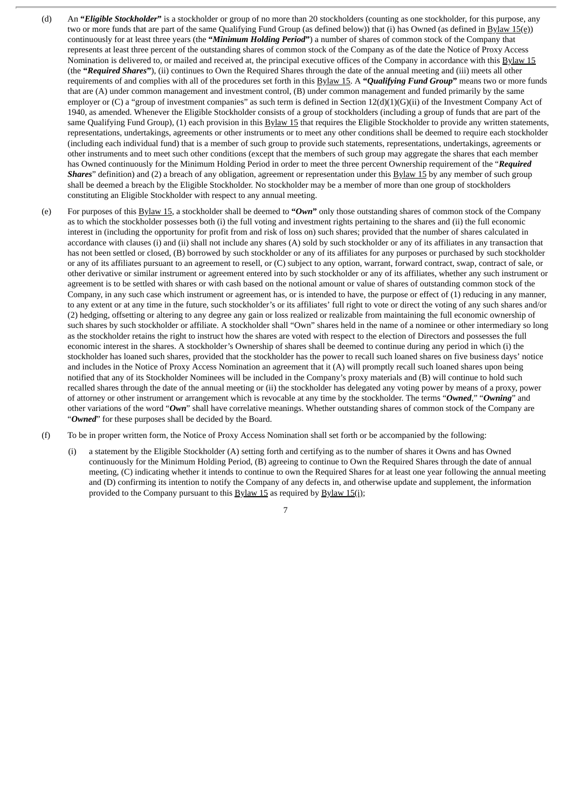- (d) An **"***Eligible Stockholder***"** is a stockholder or group of no more than 20 stockholders (counting as one stockholder, for this purpose, any two or more funds that are part of the same Qualifying Fund Group (as defined below)) that (i) has Owned (as defined in Bylaw 15(e)) continuously for at least three years (the **"***Minimum Holding Period***"**) a number of shares of common stock of the Company that represents at least three percent of the outstanding shares of common stock of the Company as of the date the Notice of Proxy Access Nomination is delivered to, or mailed and received at, the principal executive offices of the Company in accordance with this Bylaw 15 (the **"***Required Shares***"**), (ii) continues to Own the Required Shares through the date of the annual meeting and (iii) meets all other requirements of and complies with all of the procedures set forth in this Bylaw 15. A **"***Qualifying Fund Group***"** means two or more funds that are (A) under common management and investment control, (B) under common management and funded primarily by the same employer or  $(C)$  a "group of investment companies" as such term is defined in Section  $12(d)(1)(G)(ii)$  of the Investment Company Act of 1940, as amended. Whenever the Eligible Stockholder consists of a group of stockholders (including a group of funds that are part of the same Qualifying Fund Group), (1) each provision in this Bylaw 15 that requires the Eligible Stockholder to provide any written statements, representations, undertakings, agreements or other instruments or to meet any other conditions shall be deemed to require each stockholder (including each individual fund) that is a member of such group to provide such statements, representations, undertakings, agreements or other instruments and to meet such other conditions (except that the members of such group may aggregate the shares that each member has Owned continuously for the Minimum Holding Period in order to meet the three percent Ownership requirement of the "*Required Shares*" definition) and (2) a breach of any obligation, agreement or representation under this **Bylaw 15** by any member of such group shall be deemed a breach by the Eligible Stockholder. No stockholder may be a member of more than one group of stockholders constituting an Eligible Stockholder with respect to any annual meeting.
- (e) For purposes of this Bylaw 15, a stockholder shall be deemed to **"***Own***"** only those outstanding shares of common stock of the Company as to which the stockholder possesses both (i) the full voting and investment rights pertaining to the shares and (ii) the full economic interest in (including the opportunity for profit from and risk of loss on) such shares; provided that the number of shares calculated in accordance with clauses (i) and (ii) shall not include any shares (A) sold by such stockholder or any of its affiliates in any transaction that has not been settled or closed, (B) borrowed by such stockholder or any of its affiliates for any purposes or purchased by such stockholder or any of its affiliates pursuant to an agreement to resell, or (C) subject to any option, warrant, forward contract, swap, contract of sale, or other derivative or similar instrument or agreement entered into by such stockholder or any of its affiliates, whether any such instrument or agreement is to be settled with shares or with cash based on the notional amount or value of shares of outstanding common stock of the Company, in any such case which instrument or agreement has, or is intended to have, the purpose or effect of (1) reducing in any manner, to any extent or at any time in the future, such stockholder's or its affiliates' full right to vote or direct the voting of any such shares and/or (2) hedging, offsetting or altering to any degree any gain or loss realized or realizable from maintaining the full economic ownership of such shares by such stockholder or affiliate. A stockholder shall "Own" shares held in the name of a nominee or other intermediary so long as the stockholder retains the right to instruct how the shares are voted with respect to the election of Directors and possesses the full economic interest in the shares. A stockholder's Ownership of shares shall be deemed to continue during any period in which (i) the stockholder has loaned such shares, provided that the stockholder has the power to recall such loaned shares on five business days' notice and includes in the Notice of Proxy Access Nomination an agreement that it (A) will promptly recall such loaned shares upon being notified that any of its Stockholder Nominees will be included in the Company's proxy materials and (B) will continue to hold such recalled shares through the date of the annual meeting or (ii) the stockholder has delegated any voting power by means of a proxy, power of attorney or other instrument or arrangement which is revocable at any time by the stockholder. The terms "*Owned*," "*Owning*" and other variations of the word "*Own*" shall have correlative meanings. Whether outstanding shares of common stock of the Company are "*Owned*" for these purposes shall be decided by the Board.
- (f) To be in proper written form, the Notice of Proxy Access Nomination shall set forth or be accompanied by the following:
	- (i) a statement by the Eligible Stockholder (A) setting forth and certifying as to the number of shares it Owns and has Owned continuously for the Minimum Holding Period, (B) agreeing to continue to Own the Required Shares through the date of annual meeting, (C) indicating whether it intends to continue to own the Required Shares for at least one year following the annual meeting and (D) confirming its intention to notify the Company of any defects in, and otherwise update and supplement, the information provided to the Company pursuant to this  $Bylaw 15$  as required by  $Bylaw 15(i)$ ;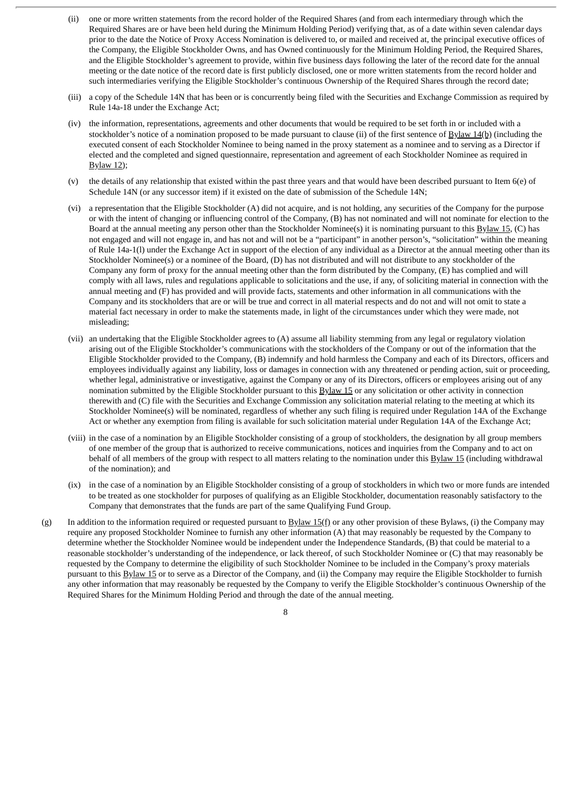- (ii) one or more written statements from the record holder of the Required Shares (and from each intermediary through which the Required Shares are or have been held during the Minimum Holding Period) verifying that, as of a date within seven calendar days prior to the date the Notice of Proxy Access Nomination is delivered to, or mailed and received at, the principal executive offices of the Company, the Eligible Stockholder Owns, and has Owned continuously for the Minimum Holding Period, the Required Shares, and the Eligible Stockholder's agreement to provide, within five business days following the later of the record date for the annual meeting or the date notice of the record date is first publicly disclosed, one or more written statements from the record holder and such intermediaries verifying the Eligible Stockholder's continuous Ownership of the Required Shares through the record date;
- (iii) a copy of the Schedule 14N that has been or is concurrently being filed with the Securities and Exchange Commission as required by Rule 14a-18 under the Exchange Act;
- (iv) the information, representations, agreements and other documents that would be required to be set forth in or included with a stockholder's notice of a nomination proposed to be made pursuant to clause (ii) of the first sentence of Bylaw 14(b) (including the executed consent of each Stockholder Nominee to being named in the proxy statement as a nominee and to serving as a Director if elected and the completed and signed questionnaire, representation and agreement of each Stockholder Nominee as required in Bylaw 12);
- (v) the details of any relationship that existed within the past three years and that would have been described pursuant to Item 6(e) of Schedule 14N (or any successor item) if it existed on the date of submission of the Schedule 14N;
- (vi) a representation that the Eligible Stockholder (A) did not acquire, and is not holding, any securities of the Company for the purpose or with the intent of changing or influencing control of the Company, (B) has not nominated and will not nominate for election to the Board at the annual meeting any person other than the Stockholder Nominee(s) it is nominating pursuant to this Bylaw 15, (C) has not engaged and will not engage in, and has not and will not be a "participant" in another person's, "solicitation" within the meaning of Rule 14a-1(l) under the Exchange Act in support of the election of any individual as a Director at the annual meeting other than its Stockholder Nominee(s) or a nominee of the Board, (D) has not distributed and will not distribute to any stockholder of the Company any form of proxy for the annual meeting other than the form distributed by the Company, (E) has complied and will comply with all laws, rules and regulations applicable to solicitations and the use, if any, of soliciting material in connection with the annual meeting and (F) has provided and will provide facts, statements and other information in all communications with the Company and its stockholders that are or will be true and correct in all material respects and do not and will not omit to state a material fact necessary in order to make the statements made, in light of the circumstances under which they were made, not misleading;
- (vii) an undertaking that the Eligible Stockholder agrees to (A) assume all liability stemming from any legal or regulatory violation arising out of the Eligible Stockholder's communications with the stockholders of the Company or out of the information that the Eligible Stockholder provided to the Company, (B) indemnify and hold harmless the Company and each of its Directors, officers and employees individually against any liability, loss or damages in connection with any threatened or pending action, suit or proceeding, whether legal, administrative or investigative, against the Company or any of its Directors, officers or employees arising out of any nomination submitted by the Eligible Stockholder pursuant to this **Bylaw 15** or any solicitation or other activity in connection therewith and (C) file with the Securities and Exchange Commission any solicitation material relating to the meeting at which its Stockholder Nominee(s) will be nominated, regardless of whether any such filing is required under Regulation 14A of the Exchange Act or whether any exemption from filing is available for such solicitation material under Regulation 14A of the Exchange Act;
- (viii) in the case of a nomination by an Eligible Stockholder consisting of a group of stockholders, the designation by all group members of one member of the group that is authorized to receive communications, notices and inquiries from the Company and to act on behalf of all members of the group with respect to all matters relating to the nomination under this Bylaw 15 (including withdrawal of the nomination); and
- (ix) in the case of a nomination by an Eligible Stockholder consisting of a group of stockholders in which two or more funds are intended to be treated as one stockholder for purposes of qualifying as an Eligible Stockholder, documentation reasonably satisfactory to the Company that demonstrates that the funds are part of the same Qualifying Fund Group.
- (g) In addition to the information required or requested pursuant to  $\underline{Bylaw 15(f)}$  or any other provision of these Bylaws, (i) the Company may require any proposed Stockholder Nominee to furnish any other information (A) that may reasonably be requested by the Company to determine whether the Stockholder Nominee would be independent under the Independence Standards, (B) that could be material to a reasonable stockholder's understanding of the independence, or lack thereof, of such Stockholder Nominee or (C) that may reasonably be requested by the Company to determine the eligibility of such Stockholder Nominee to be included in the Company's proxy materials pursuant to this Bylaw 15 or to serve as a Director of the Company, and (ii) the Company may require the Eligible Stockholder to furnish any other information that may reasonably be requested by the Company to verify the Eligible Stockholder's continuous Ownership of the Required Shares for the Minimum Holding Period and through the date of the annual meeting.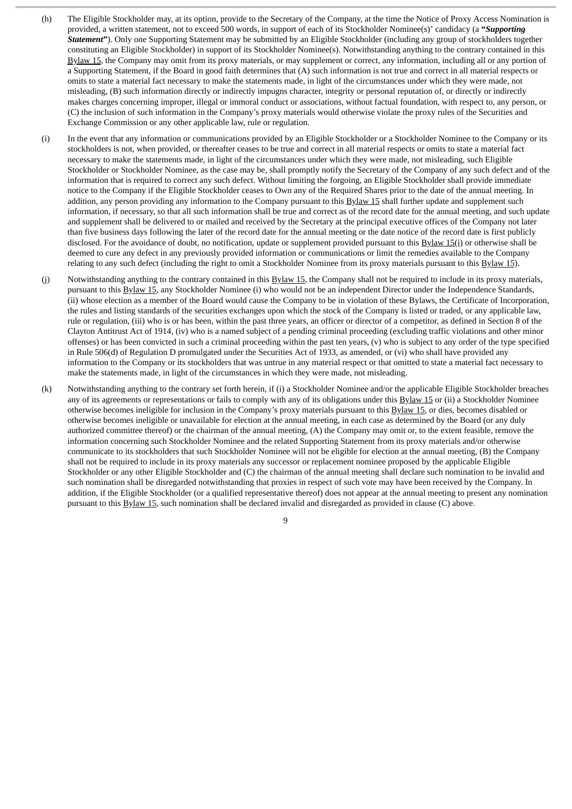- (h) The Eligible Stockholder may, at its option, provide to the Secretary of the Company, at the time the Notice of Proxy Access Nomination is provided, a written statement, not to exceed 500 words, in support of each of its Stockholder Nominee(s)' candidacy (a **"***Supporting Statement***"**). Only one Supporting Statement may be submitted by an Eligible Stockholder (including any group of stockholders together constituting an Eligible Stockholder) in support of its Stockholder Nominee(s). Notwithstanding anything to the contrary contained in this Bylaw 15, the Company may omit from its proxy materials, or may supplement or correct, any information, including all or any portion of a Supporting Statement, if the Board in good faith determines that (A) such information is not true and correct in all material respects or omits to state a material fact necessary to make the statements made, in light of the circumstances under which they were made, not misleading, (B) such information directly or indirectly impugns character, integrity or personal reputation of, or directly or indirectly makes charges concerning improper, illegal or immoral conduct or associations, without factual foundation, with respect to, any person, or (C) the inclusion of such information in the Company's proxy materials would otherwise violate the proxy rules of the Securities and Exchange Commission or any other applicable law, rule or regulation.
- (i) In the event that any information or communications provided by an Eligible Stockholder or a Stockholder Nominee to the Company or its stockholders is not, when provided, or thereafter ceases to be true and correct in all material respects or omits to state a material fact necessary to make the statements made, in light of the circumstances under which they were made, not misleading, such Eligible Stockholder or Stockholder Nominee, as the case may be, shall promptly notify the Secretary of the Company of any such defect and of the information that is required to correct any such defect. Without limiting the forgoing, an Eligible Stockholder shall provide immediate notice to the Company if the Eligible Stockholder ceases to Own any of the Required Shares prior to the date of the annual meeting. In addition, any person providing any information to the Company pursuant to this Bylaw 15 shall further update and supplement such information, if necessary, so that all such information shall be true and correct as of the record date for the annual meeting, and such update and supplement shall be delivered to or mailed and received by the Secretary at the principal executive offices of the Company not later than five business days following the later of the record date for the annual meeting or the date notice of the record date is first publicly disclosed. For the avoidance of doubt, no notification, update or supplement provided pursuant to this  $Bylaw 15(i)$  or otherwise shall be deemed to cure any defect in any previously provided information or communications or limit the remedies available to the Company relating to any such defect (including the right to omit a Stockholder Nominee from its proxy materials pursuant to this Bylaw 15).
- (j) Notwithstanding anything to the contrary contained in this **Bylaw 15**, the Company shall not be required to include in its proxy materials, pursuant to this Bylaw 15, any Stockholder Nominee (i) who would not be an independent Director under the Independence Standards, (ii) whose election as a member of the Board would cause the Company to be in violation of these Bylaws, the Certificate of Incorporation, the rules and listing standards of the securities exchanges upon which the stock of the Company is listed or traded, or any applicable law, rule or regulation, (iii) who is or has been, within the past three years, an officer or director of a competitor, as defined in Section 8 of the Clayton Antitrust Act of 1914, (iv) who is a named subject of a pending criminal proceeding (excluding traffic violations and other minor offenses) or has been convicted in such a criminal proceeding within the past ten years, (v) who is subject to any order of the type specified in Rule 506(d) of Regulation D promulgated under the Securities Act of 1933, as amended, or (vi) who shall have provided any information to the Company or its stockholders that was untrue in any material respect or that omitted to state a material fact necessary to make the statements made, in light of the circumstances in which they were made, not misleading.
- (k) Notwithstanding anything to the contrary set forth herein, if (i) a Stockholder Nominee and/or the applicable Eligible Stockholder breaches any of its agreements or representations or fails to comply with any of its obligations under this Bylaw 15 or (ii) a Stockholder Nominee otherwise becomes ineligible for inclusion in the Company's proxy materials pursuant to this Bylaw 15, or dies, becomes disabled or otherwise becomes ineligible or unavailable for election at the annual meeting, in each case as determined by the Board (or any duly authorized committee thereof) or the chairman of the annual meeting, (A) the Company may omit or, to the extent feasible, remove the information concerning such Stockholder Nominee and the related Supporting Statement from its proxy materials and/or otherwise communicate to its stockholders that such Stockholder Nominee will not be eligible for election at the annual meeting, (B) the Company shall not be required to include in its proxy materials any successor or replacement nominee proposed by the applicable Eligible Stockholder or any other Eligible Stockholder and (C) the chairman of the annual meeting shall declare such nomination to be invalid and such nomination shall be disregarded notwithstanding that proxies in respect of such vote may have been received by the Company. In addition, if the Eligible Stockholder (or a qualified representative thereof) does not appear at the annual meeting to present any nomination pursuant to this Bylaw 15, such nomination shall be declared invalid and disregarded as provided in clause (C) above.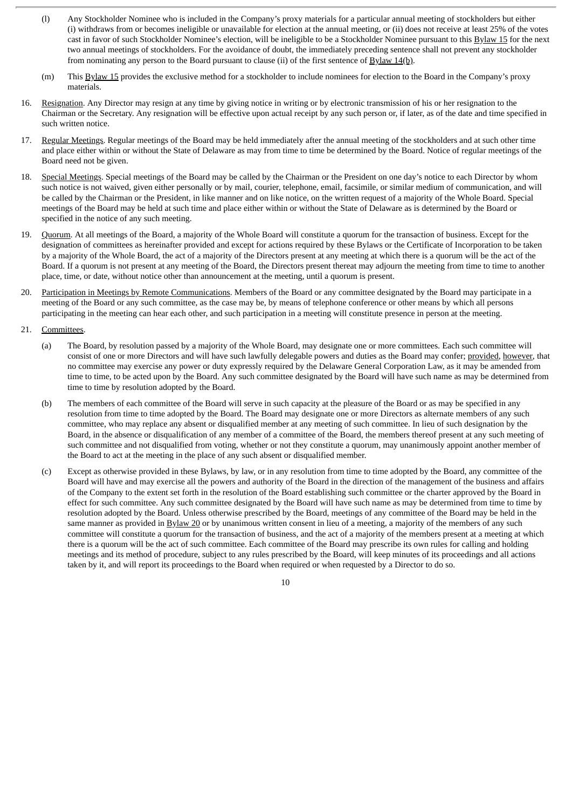- (l) Any Stockholder Nominee who is included in the Company's proxy materials for a particular annual meeting of stockholders but either (i) withdraws from or becomes ineligible or unavailable for election at the annual meeting, or (ii) does not receive at least 25% of the votes cast in favor of such Stockholder Nominee's election, will be ineligible to be a Stockholder Nominee pursuant to this Bylaw 15 for the next two annual meetings of stockholders. For the avoidance of doubt, the immediately preceding sentence shall not prevent any stockholder from nominating any person to the Board pursuant to clause (ii) of the first sentence of  $\frac{Bylaw 14(b)}{b}$ .
- (m) This Bylaw 15 provides the exclusive method for a stockholder to include nominees for election to the Board in the Company's proxy materials.
- 16. Resignation. Any Director may resign at any time by giving notice in writing or by electronic transmission of his or her resignation to the Chairman or the Secretary. Any resignation will be effective upon actual receipt by any such person or, if later, as of the date and time specified in such written notice.
- 17. Regular Meetings. Regular meetings of the Board may be held immediately after the annual meeting of the stockholders and at such other time and place either within or without the State of Delaware as may from time to time be determined by the Board. Notice of regular meetings of the Board need not be given.
- 18. Special Meetings. Special meetings of the Board may be called by the Chairman or the President on one day's notice to each Director by whom such notice is not waived, given either personally or by mail, courier, telephone, email, facsimile, or similar medium of communication, and will be called by the Chairman or the President, in like manner and on like notice, on the written request of a majority of the Whole Board. Special meetings of the Board may be held at such time and place either within or without the State of Delaware as is determined by the Board or specified in the notice of any such meeting.
- 19. Quorum. At all meetings of the Board, a majority of the Whole Board will constitute a quorum for the transaction of business. Except for the designation of committees as hereinafter provided and except for actions required by these Bylaws or the Certificate of Incorporation to be taken by a majority of the Whole Board, the act of a majority of the Directors present at any meeting at which there is a quorum will be the act of the Board. If a quorum is not present at any meeting of the Board, the Directors present thereat may adjourn the meeting from time to time to another place, time, or date, without notice other than announcement at the meeting, until a quorum is present.
- 20. Participation in Meetings by Remote Communications. Members of the Board or any committee designated by the Board may participate in a meeting of the Board or any such committee, as the case may be, by means of telephone conference or other means by which all persons participating in the meeting can hear each other, and such participation in a meeting will constitute presence in person at the meeting.
- 21. Committees.
	- (a) The Board, by resolution passed by a majority of the Whole Board, may designate one or more committees. Each such committee will consist of one or more Directors and will have such lawfully delegable powers and duties as the Board may confer; provided, however, that no committee may exercise any power or duty expressly required by the Delaware General Corporation Law, as it may be amended from time to time, to be acted upon by the Board. Any such committee designated by the Board will have such name as may be determined from time to time by resolution adopted by the Board.
	- (b) The members of each committee of the Board will serve in such capacity at the pleasure of the Board or as may be specified in any resolution from time to time adopted by the Board. The Board may designate one or more Directors as alternate members of any such committee, who may replace any absent or disqualified member at any meeting of such committee. In lieu of such designation by the Board, in the absence or disqualification of any member of a committee of the Board, the members thereof present at any such meeting of such committee and not disqualified from voting, whether or not they constitute a quorum, may unanimously appoint another member of the Board to act at the meeting in the place of any such absent or disqualified member.
	- (c) Except as otherwise provided in these Bylaws, by law, or in any resolution from time to time adopted by the Board, any committee of the Board will have and may exercise all the powers and authority of the Board in the direction of the management of the business and affairs of the Company to the extent set forth in the resolution of the Board establishing such committee or the charter approved by the Board in effect for such committee. Any such committee designated by the Board will have such name as may be determined from time to time by resolution adopted by the Board. Unless otherwise prescribed by the Board, meetings of any committee of the Board may be held in the same manner as provided in Bylaw 20 or by unanimous written consent in lieu of a meeting, a majority of the members of any such committee will constitute a quorum for the transaction of business, and the act of a majority of the members present at a meeting at which there is a quorum will be the act of such committee. Each committee of the Board may prescribe its own rules for calling and holding meetings and its method of procedure, subject to any rules prescribed by the Board, will keep minutes of its proceedings and all actions taken by it, and will report its proceedings to the Board when required or when requested by a Director to do so.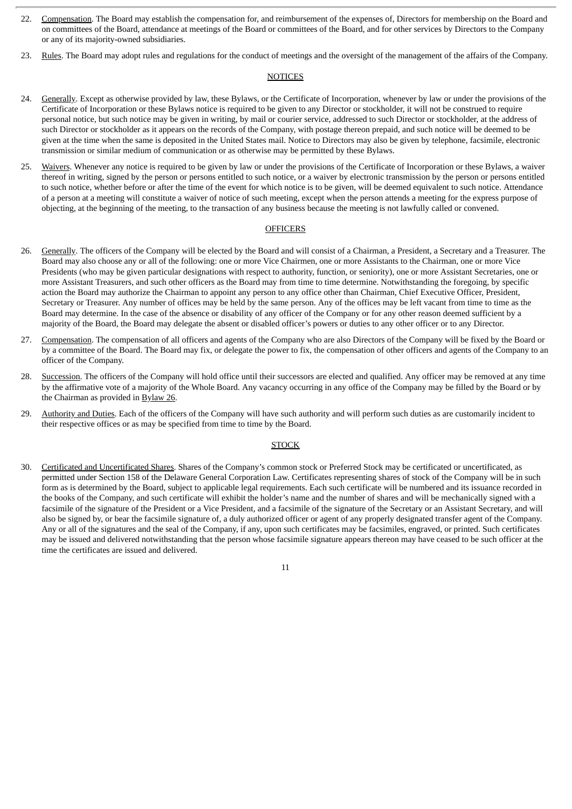- 22. Compensation. The Board may establish the compensation for, and reimbursement of the expenses of, Directors for membership on the Board and on committees of the Board, attendance at meetings of the Board or committees of the Board, and for other services by Directors to the Company or any of its majority-owned subsidiaries.
- 23. Rules. The Board may adopt rules and regulations for the conduct of meetings and the oversight of the management of the affairs of the Company.

#### **NOTICES**

- 24. Generally. Except as otherwise provided by law, these Bylaws, or the Certificate of Incorporation, whenever by law or under the provisions of the Certificate of Incorporation or these Bylaws notice is required to be given to any Director or stockholder, it will not be construed to require personal notice, but such notice may be given in writing, by mail or courier service, addressed to such Director or stockholder, at the address of such Director or stockholder as it appears on the records of the Company, with postage thereon prepaid, and such notice will be deemed to be given at the time when the same is deposited in the United States mail. Notice to Directors may also be given by telephone, facsimile, electronic transmission or similar medium of communication or as otherwise may be permitted by these Bylaws.
- 25. Waivers. Whenever any notice is required to be given by law or under the provisions of the Certificate of Incorporation or these Bylaws, a waiver thereof in writing, signed by the person or persons entitled to such notice, or a waiver by electronic transmission by the person or persons entitled to such notice, whether before or after the time of the event for which notice is to be given, will be deemed equivalent to such notice. Attendance of a person at a meeting will constitute a waiver of notice of such meeting, except when the person attends a meeting for the express purpose of objecting, at the beginning of the meeting, to the transaction of any business because the meeting is not lawfully called or convened.

#### **OFFICERS**

- 26. Generally. The officers of the Company will be elected by the Board and will consist of a Chairman, a President, a Secretary and a Treasurer. The Board may also choose any or all of the following: one or more Vice Chairmen, one or more Assistants to the Chairman, one or more Vice Presidents (who may be given particular designations with respect to authority, function, or seniority), one or more Assistant Secretaries, one or more Assistant Treasurers, and such other officers as the Board may from time to time determine. Notwithstanding the foregoing, by specific action the Board may authorize the Chairman to appoint any person to any office other than Chairman, Chief Executive Officer, President, Secretary or Treasurer. Any number of offices may be held by the same person. Any of the offices may be left vacant from time to time as the Board may determine. In the case of the absence or disability of any officer of the Company or for any other reason deemed sufficient by a majority of the Board, the Board may delegate the absent or disabled officer's powers or duties to any other officer or to any Director.
- 27. Compensation. The compensation of all officers and agents of the Company who are also Directors of the Company will be fixed by the Board or by a committee of the Board. The Board may fix, or delegate the power to fix, the compensation of other officers and agents of the Company to an officer of the Company.
- 28. Succession. The officers of the Company will hold office until their successors are elected and qualified. Any officer may be removed at any time by the affirmative vote of a majority of the Whole Board. Any vacancy occurring in any office of the Company may be filled by the Board or by the Chairman as provided in Bylaw 26.
- 29. Authority and Duties. Each of the officers of the Company will have such authority and will perform such duties as are customarily incident to their respective offices or as may be specified from time to time by the Board.

#### **STOCK**

30. Certificated and Uncertificated Shares. Shares of the Company's common stock or Preferred Stock may be certificated or uncertificated, as permitted under Section 158 of the Delaware General Corporation Law. Certificates representing shares of stock of the Company will be in such form as is determined by the Board, subject to applicable legal requirements. Each such certificate will be numbered and its issuance recorded in the books of the Company, and such certificate will exhibit the holder's name and the number of shares and will be mechanically signed with a facsimile of the signature of the President or a Vice President, and a facsimile of the signature of the Secretary or an Assistant Secretary, and will also be signed by, or bear the facsimile signature of, a duly authorized officer or agent of any properly designated transfer agent of the Company. Any or all of the signatures and the seal of the Company, if any, upon such certificates may be facsimiles, engraved, or printed. Such certificates may be issued and delivered notwithstanding that the person whose facsimile signature appears thereon may have ceased to be such officer at the time the certificates are issued and delivered.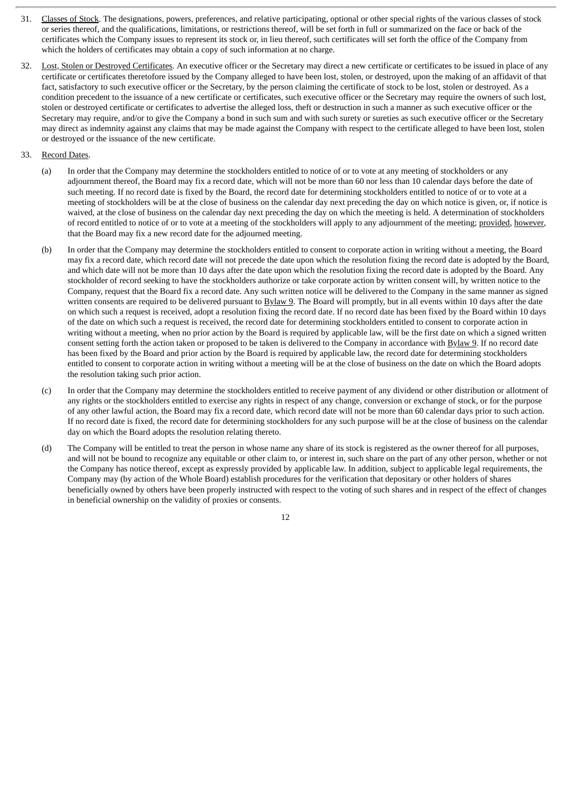- 31. Classes of Stock. The designations, powers, preferences, and relative participating, optional or other special rights of the various classes of stock or series thereof, and the qualifications, limitations, or restrictions thereof, will be set forth in full or summarized on the face or back of the certificates which the Company issues to represent its stock or, in lieu thereof, such certificates will set forth the office of the Company from which the holders of certificates may obtain a copy of such information at no charge.
- 32. Lost, Stolen or Destroyed Certificates. An executive officer or the Secretary may direct a new certificate or certificates to be issued in place of any certificate or certificates theretofore issued by the Company alleged to have been lost, stolen, or destroyed, upon the making of an affidavit of that fact, satisfactory to such executive officer or the Secretary, by the person claiming the certificate of stock to be lost, stolen or destroyed. As a condition precedent to the issuance of a new certificate or certificates, such executive officer or the Secretary may require the owners of such lost, stolen or destroyed certificate or certificates to advertise the alleged loss, theft or destruction in such a manner as such executive officer or the Secretary may require, and/or to give the Company a bond in such sum and with such surety or sureties as such executive officer or the Secretary may direct as indemnity against any claims that may be made against the Company with respect to the certificate alleged to have been lost, stolen or destroyed or the issuance of the new certificate.
- 33. Record Dates.
	- (a) In order that the Company may determine the stockholders entitled to notice of or to vote at any meeting of stockholders or any adjournment thereof, the Board may fix a record date, which will not be more than 60 nor less than 10 calendar days before the date of such meeting. If no record date is fixed by the Board, the record date for determining stockholders entitled to notice of or to vote at a meeting of stockholders will be at the close of business on the calendar day next preceding the day on which notice is given, or, if notice is waived, at the close of business on the calendar day next preceding the day on which the meeting is held. A determination of stockholders of record entitled to notice of or to vote at a meeting of the stockholders will apply to any adjournment of the meeting; provided, however, that the Board may fix a new record date for the adjourned meeting.
	- (b) In order that the Company may determine the stockholders entitled to consent to corporate action in writing without a meeting, the Board may fix a record date, which record date will not precede the date upon which the resolution fixing the record date is adopted by the Board, and which date will not be more than 10 days after the date upon which the resolution fixing the record date is adopted by the Board. Any stockholder of record seeking to have the stockholders authorize or take corporate action by written consent will, by written notice to the Company, request that the Board fix a record date. Any such written notice will be delivered to the Company in the same manner as signed written consents are required to be delivered pursuant to Bylaw 9. The Board will promptly, but in all events within 10 days after the date on which such a request is received, adopt a resolution fixing the record date. If no record date has been fixed by the Board within 10 days of the date on which such a request is received, the record date for determining stockholders entitled to consent to corporate action in writing without a meeting, when no prior action by the Board is required by applicable law, will be the first date on which a signed written consent setting forth the action taken or proposed to be taken is delivered to the Company in accordance with Bylaw 9. If no record date has been fixed by the Board and prior action by the Board is required by applicable law, the record date for determining stockholders entitled to consent to corporate action in writing without a meeting will be at the close of business on the date on which the Board adopts the resolution taking such prior action.
	- (c) In order that the Company may determine the stockholders entitled to receive payment of any dividend or other distribution or allotment of any rights or the stockholders entitled to exercise any rights in respect of any change, conversion or exchange of stock, or for the purpose of any other lawful action, the Board may fix a record date, which record date will not be more than 60 calendar days prior to such action. If no record date is fixed, the record date for determining stockholders for any such purpose will be at the close of business on the calendar day on which the Board adopts the resolution relating thereto.
	- (d) The Company will be entitled to treat the person in whose name any share of its stock is registered as the owner thereof for all purposes, and will not be bound to recognize any equitable or other claim to, or interest in, such share on the part of any other person, whether or not the Company has notice thereof, except as expressly provided by applicable law. In addition, subject to applicable legal requirements, the Company may (by action of the Whole Board) establish procedures for the verification that depositary or other holders of shares beneficially owned by others have been properly instructed with respect to the voting of such shares and in respect of the effect of changes in beneficial ownership on the validity of proxies or consents.